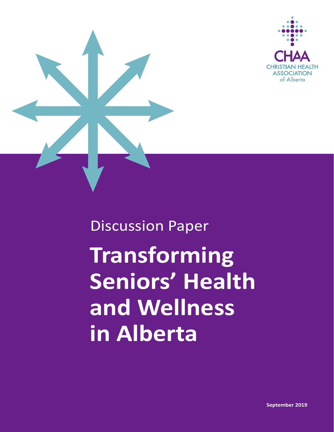



## **Transforming Seniors' Health and Wellness in Alberta** Discussion Paper

**September 2019**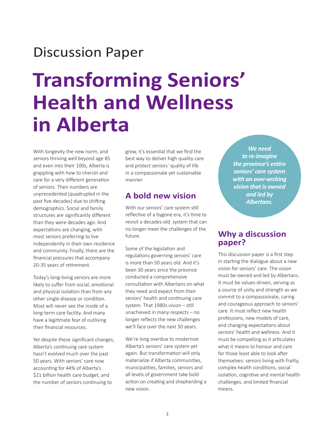## Discussion Paper

## **Transforming Seniors' Health and Wellness in Alberta**

With longevity the new norm, and seniors thriving well beyond age 85 and even into their 100s, Alberta is grappling with how to cherish and care for a very different generation of seniors. Their numbers are unprecedented (quadrupled in the past five decades) due to shifting demographics. Social and family structures are significantly different than they were decades ago. And expectations are changing, with most seniors preferring to live independently in their own residence and community. Finally, there are the financial pressures that accompany 20-35 years of retirement.

Today's long-living seniors are more likely to suffer from social, emotional and physical isolation than from any other single disease or condition. Most will never see the inside of a long-term care facility. And many have a legitimate fear of outliving their financial resources.

Yet despite these significant changes, Alberta's continuing care system hasn't evolved much over the past 50 years. With seniors' care now accounting for 44% of Alberta's \$21 billion health care budget, and the number of seniors continuing to

grow, it's essential that we find the best way to deliver high quality care and protect seniors' quality of life in a compassionate yet sustainable manner.

## **A bold new vision**

With our seniors' care system still reflective of a bygone era, it's time to revisit a decades-old system that can no longer meet the challenges of the future.

Some of the legislation and regulations governing seniors' care is more than 50 years old. And it's been 30 years since the province conducted a comprehensive consultation with Albertans on what they need and expect from their seniors' health and continuing care system. That 1980s vision – still unachieved in many respects – no longer reflects the new challenges we'll face over the next 30 years.

We're long overdue to modernize Alberta's seniors' care system yet again. But transformation will only materialize if Alberta communities, municipalities, families, seniors and all levels of government take bold action on creating and shepherding a new vision.

*We need to re-imagine the province's entire seniors' care system with an over-arching vision that is owned and led by Albertans.*

## **Why a discussion paper?**

This discussion paper is a first step in starting the dialogue about a new vision for seniors' care. The vision must be owned and led by Albertans. It must be values-driven, serving as a source of unity and strength as we commit to a compassionate, caring and courageous approach to seniors' care. It must reflect new health professions, new models of care, and changing expectations about seniors' health and wellness. And it must be compelling as it articulates what it means to honour and care for those least able to look after themselves: seniors living with frailty, complex health conditions, social isolation, cognitive and mental health challenges, and limited financial means.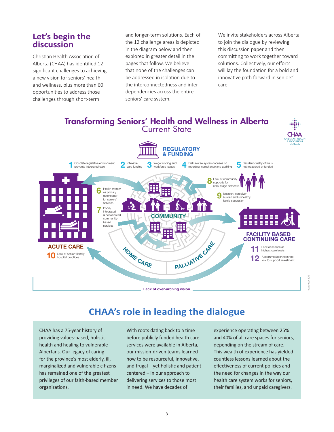## **Let's begin the discussion**

Christian Health Association of Alberta (CHAA) has identified 12 significant challenges to achieving a new vision for seniors' health and wellness, plus more than 60 opportunities to address those challenges through short-term

and longer-term solutions. Each of the 12 challenge areas is depicted in the diagram below and then explored in greater detail in the pages that follow. We believe that none of the challenges can be addressed in isolation due to the interconnectedness and interdependencies across the entire seniors' care system.

We invite stakeholders across Alberta to join the dialogue by reviewing this discussion paper and then committing to work together toward solutions. Collectively, our efforts will lay the foundation for a bold and innovative path forward in seniors' care.



## **CHAA's role in leading the dialogue**

CHAA has a 75-year history of providing values-based, holistic health and healing to vulnerable Albertans. Our legacy of caring for the province's most elderly, ill, marginalized and vulnerable citizens has remained one of the greatest privileges of our faith-based member organizations.

With roots dating back to a time before publicly funded health care services were available in Alberta, our mission-driven teams learned how to be resourceful, innovative, and frugal – yet holistic and patientcentered – in our approach to delivering services to those most in need. We have decades of

experience operating between 25% and 40% of all care spaces for seniors, depending on the stream of care. This wealth of experience has yielded countless lessons learned about the effectiveness of current policies and the need for changes in the way our health care system works for seniors, their families, and unpaid caregivers.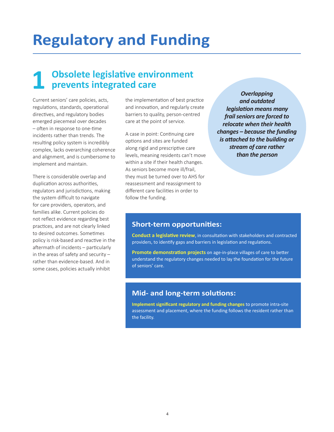## **Regulatory and Funding**

## **1 Obsolete legislative environment prevents integrated care**

Current seniors' care policies, acts, regulations, standards, operational directives, and regulatory bodies emerged piecemeal over decades – often in response to one-time incidents rather than trends. The resulting policy system is incredibly complex, lacks overarching coherence and alignment, and is cumbersome to implement and maintain.

There is considerable overlap and duplication across authorities, regulators and jurisdictions, making the system difficult to navigate for care providers, operators, and families alike. Current policies do not reflect evidence regarding best practices, and are not clearly linked to desired outcomes. Sometimes policy is risk-based and reactive in the aftermath of incidents – particularly in the areas of safety and security – rather than evidence-based. And in some cases, policies actually inhibit

the implementation of best practice and innovation, and regularly create barriers to quality, person-centred care at the point of service.

A case in point: Continuing care options and sites are funded along rigid and prescriptive care levels, meaning residents can't move within a site if their health changes. As seniors become more ill/frail, they must be turned over to AHS for reassessment and reassignment to different care facilities in order to follow the funding.

*Overlapping and outdated legislation means many frail seniors are forced to relocate when their health changes – because the funding is attached to the building or stream of care rather than the person*

#### **Short-term opportunities:**

**Conduct a legislative review**, in consultation with stakeholders and contracted providers, to identify gaps and barriers in legislation and regulations.

**Promote demonstration projects** on age-in-place villages of care to better understand the regulatory changes needed to lay the foundation for the future of seniors' care.

#### **Mid- and long-term solutions:**

**Implement significant regulatory and funding changes** to promote intra-site assessment and placement, where the funding follows the resident rather than the facility.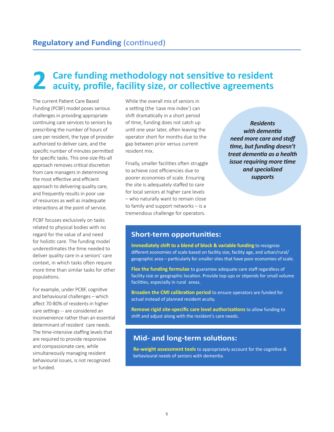# **2 Care funding methodology not sensitive to resident acuity, profile, facility size, or collective agreements**

The current Patient Care Based Funding (PCBF) model poses serious challenges in providing appropriate continuing care services to seniors by prescribing the number of hours of care per resident, the type of provider authorized to deliver care, and the specific number of minutes permitted for specific tasks. This one-size-fits-all approach removes critical discretion from care managers in determining the most effective and efficient approach to delivering quality care, and frequently results in poor use of resources as well as inadequate interactions at the point of service.

PCBF focuses exclusively on tasks related to physical bodies with no regard for the value of and need for holistic care. The funding model underestimates the time needed to deliver quality care in a seniors' care context, in which tasks often require more time than similar tasks for other populations.

For example, under PCBF, cognitive and behavioural challenges – which affect 70-80% of residents in higher care settings -- are considered an inconvenience rather than an essential determinant of resident care needs. The time-intensive staffing levels that are required to provide responsive and compassionate care, while simultaneously managing resident behavioural issues, is not recognized or funded.

While the overall mix of seniors in a setting (the 'case mix index') can shift dramatically in a short period of time, funding does not catch up until one year later, often leaving the operator short for months due to the gap between prior versus current resident mix.

Finally, smaller facilities often struggle to achieve cost efficiencies due to poorer economies of scale. Ensuring the site is adequately staffed to care for local seniors at higher care levels – who naturally want to remain close to family and support networks – is a tremendous challenge for operators.

*Residents with dementia need more care and staff time, but funding doesn't treat dementia as a health issue requiring more time and specialized supports*

#### **Short-term opportunities:**

**Immediately shift to a blend of block & variable funding** to recognize different economies of scale based on facility size, facility age, and urban/rural/ geographic area – particularly for smaller sites that have poor economies of scale.

**Flex the funding formulae** to guarantee adequate care staff regardless of facility size or geographic location. Provide top-ups or stipends for small volume facilities, especially in rural areas.

**Broaden the CMI calibration period** to ensure operators are funded for actual instead of planned resident acuity.

**Remove rigid site-specific care level authorizations** to allow funding to shift and adjust along with the resident's care needs.

### **Mid- and long-term solutions:**

**Re-weight assessment tools** to appropriately account for the cognitive & behavioural needs of seniors with dementia.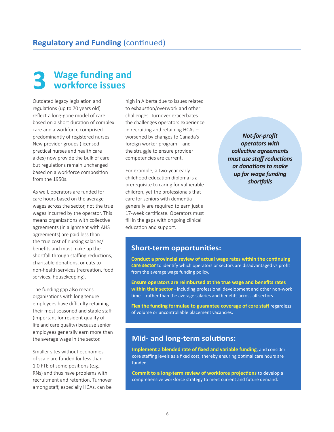## **3 Wage funding and workforce issues**

Outdated legacy legislation and regulations (up to 70 years old) reflect a long-gone model of care based on a short duration of complex care and a workforce comprised predominantly of registered nurses. New provider groups (licensed practical nurses and health care aides) now provide the bulk of care but regulations remain unchanged based on a workforce composition from the 1950s.

As well, operators are funded for care hours based on the average wages across the sector, not the true wages incurred by the operator. This means organizations with collective agreements (in alignment with AHS agreements) are paid less than the true cost of nursing salaries/ benefits and must make up the shortfall through staffing reductions, charitable donations, or cuts to non-health services (recreation, food services, housekeeping).

The funding gap also means organizations with long tenure employees have difficulty retaining their most seasoned and stable staff (important for resident quality of life and care quality) because senior employees generally earn more than the average wage in the sector.

Smaller sites without economies of scale are funded for less than 1.0 FTE of some positions (e.g., RNs) and thus have problems with recruitment and retention. Turnover among staff, especially HCAs, can be

high in Alberta due to issues related to exhaustion/overwork and other challenges. Turnover exacerbates the challenges operators experience in recruiting and retaining HCAs – worsened by changes to Canada's foreign worker program – and the struggle to ensure provider competencies are current.

For example, a two-year early childhood education diploma is a prerequisite to caring for vulnerable children, yet the professionals that care for seniors with dementia generally are required to earn just a 17-week certificate. Operators must fill in the gaps with ongoing clinical education and support.

*Not-for-profit operators with collective agreements must use staff reductions or donations to make up for wage funding shortfalls*

#### **Short-term opportunities:**

**Conduct a provincial review of actual wage rates within the continuing care sector** to identify which operators or sectors are disadvantaged vs profit from the average wage funding policy.

**Ensure operators are reimbursed at the true wage and benefits rates within their sector** - including professional development and other non-work time -- rather than the average salaries and benefits across all sectors.

**Flex the funding formulae to guarantee coverage of core staff** regardless of volume or uncontrollable placement vacancies.

#### **Mid- and long-term solutions:**

**Implement a blended rate of fixed and variable funding**, and consider core staffing levels as a fixed cost, thereby ensuring optimal care hours are funded.

**Commit to a long-term review of workforce projections** to develop a comprehensive workforce strategy to meet current and future demand.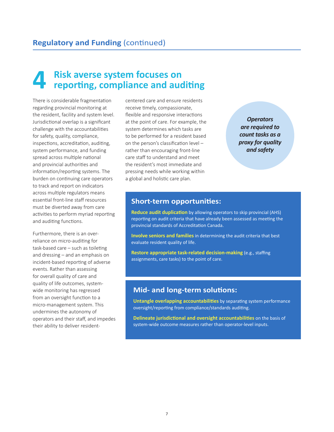# **4 Risk averse system focuses on reporting, compliance and auditing**

There is considerable fragmentation regarding provincial monitoring at the resident, facility and system level. Jurisdictional overlap is a significant challenge with the accountabilities for safety, quality, compliance, inspections, accreditation, auditing, system performance, and funding spread across multiple national and provincial authorities and information/reporting systems. The burden on continuing care operators to track and report on indicators across multiple regulators means essential front-line staff resources must be diverted away from care activities to perform myriad reporting and auditing functions.

Furthermore, there is an overreliance on micro-auditing for task-based care – such as toileting and dressing – and an emphasis on incident-based reporting of adverse events. Rather than assessing for overall quality of care and quality of life outcomes, systemwide monitoring has regressed from an oversight function to a micro-management system. This undermines the autonomy of operators and their staff, and impedes their ability to deliver residentcentered care and ensure residents receive timely, compassionate, flexible and responsive interactions at the point of care. For example, the system determines which tasks are to be performed for a resident based on the person's classification level – rather than encouraging front-line care staff to understand and meet the resident's most immediate and pressing needs while working within a global and holistic care plan.

*Operators are required to count tasks as a proxy for quality and safety*

### **Short-term opportunities:**

**Reduce audit duplication** by allowing operators to skip provincial (AHS) reporting on audit criteria that have already been assessed as meeting the provincial standards of Accreditation Canada.

**Involve seniors and families** in determining the audit criteria that best evaluate resident quality of life.

**Restore appropriate task-related decision-making** (e.g., staffing assignments, care tasks) to the point of care.

## **Mid- and long-term solutions:**

**Untangle overlapping accountabilities** by separating system performance oversight/reporting from compliance/standards auditing.

**Delineate jurisdictional and oversight accountabilities** on the basis of system-wide outcome measures rather than operator-level inputs.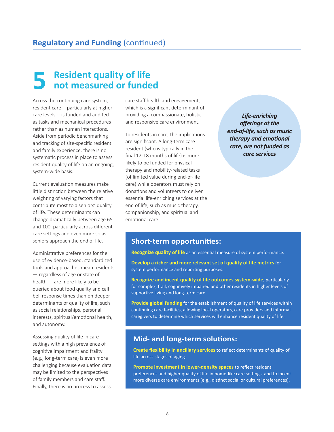## **5 Resident quality of life not measured or funded**

Across the continuing care system, resident care -- particularly at higher care levels -- is funded and audited as tasks and mechanical procedures rather than as human interactions. Aside from periodic benchmarking and tracking of site-specific resident and family experience, there is no systematic process in place to assess resident quality of life on an ongoing, system-wide basis.

Current evaluation measures make little distinction between the relative weighting of varying factors that contribute most to a seniors' quality of life. These determinants can change dramatically between age 65 and 100, particularly across different care settings and even more so as seniors approach the end of life.

Administrative preferences for the use of evidence-based, standardized tools and approaches mean residents — regardless of age or state of health — are more likely to be queried about food quality and call bell response times than on deeper determinants of quality of life, such as social relationships, personal interests, spiritual/emotional health, and autonomy.

Assessing quality of life in care settings with a high prevalence of cognitive impairment and frailty (e.g., long-term care) is even more challenging because evaluation data may be limited to the perspectives of family members and care staff. Finally, there is no process to assess

care staff health and engagement, which is a significant determinant of providing a compassionate, holistic and responsive care environment.

To residents in care, the implications are significant. A long-term care resident (who is typically in the final 12-18 months of life) is more likely to be funded for physical therapy and mobility-related tasks (of limited value during end-of-life care) while operators must rely on donations and volunteers to deliver essential life-enriching services at the end of life, such as music therapy, companionship, and spiritual and emotional care.

*Life-enriching offerings at the end-of-life, such as music therapy and emotional care, are not funded as care services*

#### **Short-term opportunities:**

**Recognize quality of life** as an essential measure of system performance.

**Develop a richer and more relevant set of quality of life metrics** for system performance and reporting purposes.

**Recognize and incent quality of life outcomes system-wide**, particularly for complex, frail, cognitively impaired and other residents in higher levels of supportive living and long-term care.

**Provide global funding** for the establishment of quality of life services within continuing care facilities, allowing local operators, care providers and informal caregivers to determine which services will enhance resident quality of life.

### **Mid- and long-term solutions:**

**Create flexibility in ancillary services** to reflect determinants of quality of life across stages of aging.

**Promote investment in lower-density spaces** to reflect resident preferences and higher quality of life in home-like care settings, and to incent more diverse care environments (e.g., distinct social or cultural preferences).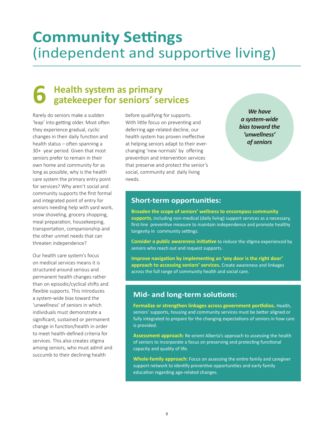## **Community Settings** (independent and supportive living)

# **6 Health system as primary gatekeeper for seniors' services**

Rarely do seniors make a sudden 'leap' into getting older. Most often they experience gradual, cyclic changes in their daily function and health status – often spanning a 30+ year period. Given that most seniors prefer to remain in their own home and community for as long as possible, why is the health care system the primary entry point for services? Why aren't social and community supports the first formal and integrated point of entry for seniors needing help with yard work, snow shoveling, grocery shopping, meal preparation, housekeeping, transportation, companionship and the other unmet needs that can threaten independence?

Our health care system's focus on medical services means it is structured around serious and permanent health changes rather than on episodic/cyclical shifts and flexible supports. This introduces a system-wide bias toward the 'unwellness' of seniors in which individuals must demonstrate a significant, sustained or permanent change in function/health in order to meet health-defined criteria for services. This also creates stigma among seniors, who must admit and succumb to their declining health

before qualifying for supports. With little focus on preventing and deferring age-related decline, our health system has proven ineffective at helping seniors adapt to their everchanging 'new normals' by offering prevention and intervention services that preserve and protect the senior's social, community and daily living needs.

*We have a system-wide bias toward the 'unwellness' of seniors*

### **Short-term opportunities:**

**Broaden the scope of seniors' wellness to encompass community supports**, including non-medical (daily living) support services as a necessary, first-line preventive measure to maintain independence and promote healthy longevity in community settings.

**Consider a public awareness initiative** to reduce the stigma experienced by seniors who reach out and request supports.

**Improve navigation by implementing an 'any door is the right door' approach to accessing seniors' services.** Create awareness and linkages across the full range of community health and social care.

### **Mid- and long-term solutions:**

**Formalize or strengthen linkages across government portfolios.** Health, seniors' supports, housing and community services must be better aligned or fully integrated to prepare for the changing expectations of seniors in how care is provided.

**Assessment approach:** Re-orient Alberta's approach to assessing the health of seniors to incorporate a focus on preserving and protecting functional capacity and quality of life.

**Whole-family approach:** Focus on assessing the entire family and caregiver support network to identify preventive opportunities and early family education regarding age-related changes.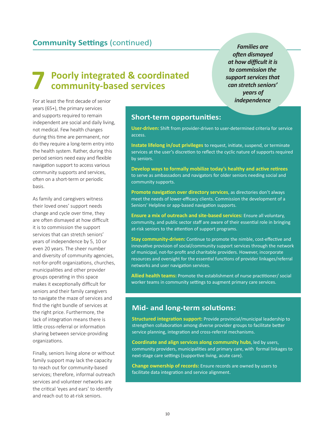## **Community Settings** (continued) *Families are*

## **7 Poorly integrated & coordinated community-based services**

For at least the first decade of senior years (65+), the primary services and supports required to remain independent are social and daily living, not medical. Few health changes during this time are permanent, nor do they require a long-term entry into the health system. Rather, during this period seniors need easy and flexible navigation support to access various community supports and services, often on a short-term or periodic basis.

As family and caregivers witness their loved ones' support needs change and cycle over time, they are often dismayed at how difficult it is to commission the support services that can stretch seniors' years of independence by 5, 10 or even 20 years. The sheer number and diversity of community agencies, not-for-profit organizations, churches, municipalities and other provider groups operating in this space makes it exceptionally difficult for seniors and their family caregivers to navigate the maze of services and find the right bundle of services at the right price. Furthermore, the lack of integration means there is little cross-referral or information sharing between service-providing organizations.

Finally, seniors living alone or without family support may lack the capacity to reach out for community-based services; therefore, informal outreach services and volunteer networks are the critical 'eyes and ears' to identify and reach out to at-risk seniors.

#### **Short-term opportunities:**

**User-driven:** Shift from provider-driven to user-determined criteria for service access.

**Instate lifelong in/out privileges** to request, initiate, suspend, or terminate services at the user's discretion to reflect the cyclic nature of supports required by seniors.

**Develop ways to formally mobilize today's healthy and active retirees** to serve as ambassadors and navigators for older seniors needing social and community supports.

**Promote navigation over directory services**, as directories don't always meet the needs of lower-efficacy clients. Commission the development of a Seniors' Helpline or app-based navigation supports.

**Ensure a mix of outreach and site-based services:** Ensure all voluntary, community, and public sector staff are aware of their essential role in bringing at-risk seniors to the attention of support programs.

**Stay community-driven:** Continue to promote the nimble, cost-effective and innovative provision of social/community support services through the network of municipal, not-for-profit and charitable providers. However, incorporate resources and oversight for the essential functions of provider linkages/referral networks and user navigation services.

**Allied health teams:** Promote the establishment of nurse practitioner/ social worker teams in community settings to augment primary care services.

#### **Mid- and long-term solutions:**

**Structured integration support:** Provide provincial/municipal leadership to strengthen collaboration among diverse provider groups to facilitate better service planning, integration and cross-referral mechanisms.

**Coordinate and align services along community hubs**, led by users, community providers, municipalities and primary care, with formal linkages to next-stage care settings (supportive living, acute care).

**Change ownership of records:** Ensure records are owned by users to facilitate data integration and service alignment.

*often dismayed at how difficult it is to commission the support services that can stretch seniors' years of independence*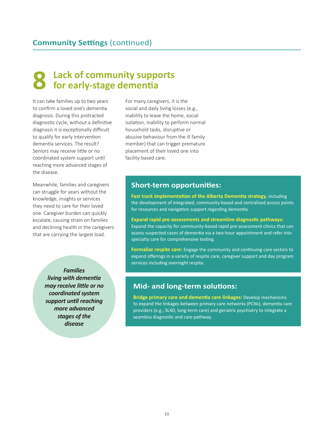## **8 Lack of community supports for early-stage dementia**

It can take families up to two years to confirm a loved one's dementia diagnosis. During this protracted diagnostic cycle, without a definitive diagnosis it is exceptionally difficult to qualify for early intervention dementia services. The result? Seniors may receive little or no coordinated system support until reaching more advanced stages of the disease.

Meanwhile, families and caregivers can struggle for years without the knowledge, insights or services they need to care for their loved one. Caregiver burden can quickly escalate, causing strain on families and declining health in the caregivers that are carrying the largest load.

> *Families living with dementia may receive little or no coordinated system support until reaching more advanced stages of the disease*

For many caregivers, it is the social and daily living losses (e.g., inability to leave the home, social isolation, inability to perform normal household tasks, disruptive or abusive behaviour from the ill family member) that can trigger premature placement of their loved one into facility-based care.

#### **Short-term opportunities:**

**Fast track implementation of the Alberta Dementia strategy**, including the development of integrated, community-based and centralized access points for resources and navigation support regarding dementia.

**Expand rapid pre-assessments and streamline diagnostic pathways:** Expand the capacity for community-based rapid pre-assessment clinics that can assess suspected cases of dementia via a two-hour appointment and refer into specialty care for comprehensive testing.

**Formalize respite care:** Engage the community and continuing care sectors to expand offerings in a variety of respite care, caregiver support and day program services including overnight respite.

### **Mid- and long-term solutions:**

**Bridge primary care and dementia care linkages:** Develop mechanisms to expand the linkages between primary care networks (PCNs), dementia care providers (e.g., SL4D, long-term care) and geriatric psychiatry to integrate a seamless diagnostic and care pathway.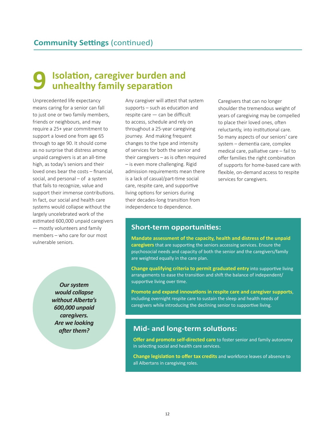# **9 Isolation, caregiver burden and unhealthy family separation**

Unprecedented life expectancy means caring for a senior can fall to just one or two family members, friends or neighbours, and may require a 25+ year commitment to support a loved one from age 65 through to age 90. It should come as no surprise that distress among unpaid caregivers is at an all-time high, as today's seniors and their loved ones bear the costs – financial, social, and personal – of a system that fails to recognize, value and support their immense contributions. In fact, our social and health care systems would collapse without the largely uncelebrated work of the estimated 600,000 unpaid caregivers — mostly volunteers and family members – who care for our most vulnerable seniors.

> *Our system would collapse without Alberta's 600,000 unpaid caregivers. Are we looking after them?*

Any caregiver will attest that system supports – such as education and respite care — can be difficult to access, schedule and rely on throughout a 25-year caregiving journey. And making frequent changes to the type and intensity of services for both the senior and their caregivers – as is often required – is even more challenging. Rigid admission requirements mean there is a lack of casual/part-time social care, respite care, and supportive living options for seniors during their decades-long transition from independence to dependence.

Caregivers that can no longer shoulder the tremendous weight of years of caregiving may be compelled to place their loved ones, often reluctantly, into institutional care. So many aspects of our seniors' care system – dementia care, complex medical care, palliative care – fail to offer families the right combination of supports for home-based care with flexible, on-demand access to respite services for caregivers.

### **Short-term opportunities:**

**Mandate assessment of the capacity, health and distress of the unpaid caregivers** that are supporting the seniors accessing services. Ensure the psychosocial needs and capacity of both the senior and the caregivers/family are weighted equally in the care plan.

**Change qualifying criteria to permit graduated entry** into supportive living arrangements to ease the transition and shift the balance of independent/ supportive living over time.

**Promote and expand innovations in respite care and caregiver supports**, including overnight respite care to sustain the sleep and health needs of caregivers while introducing the declining senior to supportive living.

## **Mid- and long-term solutions:**

**Offer and promote self-directed care** to foster senior and family autonomy in selecting social and health care services.

**Change legislation to offer tax credits** and workforce leaves of absence to all Albertans in caregiving roles.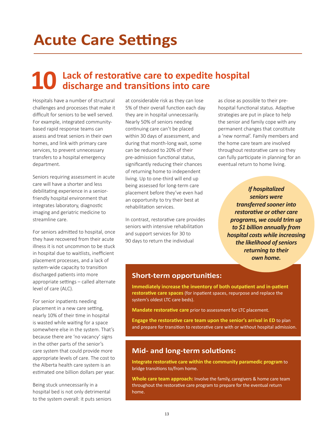## **Acute Care Settings**

# **10 Lack of restorative care to expedite hospital discharge and transitions into care**

Hospitals have a number of structural challenges and processes that make it difficult for seniors to be well served. For example, integrated communitybased rapid response teams can assess and treat seniors in their own homes, and link with primary care services, to prevent unnecessary transfers to a hospital emergency department.

Seniors requiring assessment in acute care will have a shorter and less debilitating experience in a seniorfriendly hospital environment that integrates laboratory, diagnostic imaging and geriatric medicine to streamline care.

For seniors admitted to hospital, once they have recovered from their acute illness it is not uncommon to be stuck in hospital due to waitlists, inefficient placement processes, and a lack of system-wide capacity to transition discharged patients into more appropriate settings – called alternate level of care (ALC).

For senior inpatients needing placement in a new care setting, nearly 10% of their time in hospital is wasted while waiting for a space somewhere else in the system. That's because there are 'no vacancy' signs in the other parts of the senior's care system that could provide more appropriate levels of care. The cost to the Alberta health care system is an estimated one billion dollars per year.

Being stuck unnecessarily in a hospital bed is not only detrimental to the system overall: it puts seniors

at considerable risk as they can lose 5% of their overall function each day they are in hospital unnecessarily. Nearly 50% of seniors needing continuing care can't be placed within 30 days of assessment, and during that month-long wait, some can be reduced to 20% of their pre-admission functional status, significantly reducing their chances of returning home to independent living. Up to one-third will end up being assessed for long-term care placement before they've even had an opportunity to try their best at rehabilitation services.

In contrast, restorative care provides seniors with intensive rehabilitation and support services for 30 to 90 days to return the individual

as close as possible to their prehospital functional status. Adaptive strategies are put in place to help the senior and family cope with any permanent changes that constitute a 'new normal'. Family members and the home care team are involved throughout restorative care so they can fully participate in planning for an eventual return to home living.

> *If hospitalized seniors were transferred sooner into restorative or other care programs, we could trim up to \$1 billion annually from hospital costs while increasing the likelihood of seniors returning to their own home.*

#### **Short-term opportunities:**

**Immediately increase the inventory of both outpatient and in-patient restorative care spaces** (for inpatient spaces, repurpose and replace the system's oldest LTC care beds).

**Mandate restorative care** prior to assessment for LTC placement.

**Engage the restorative care team upon the senior's arrival in ED** to plan and prepare for transition to restorative care with or without hospital admission.

### **Mid- and long-term solutions:**

**Integrate restorative care within the community paramedic program** to bridge transitions to/from home.

**Whole care team approach:** Involve the family, caregivers & home care team throughout the restorative care program to prepare for the eventual return home.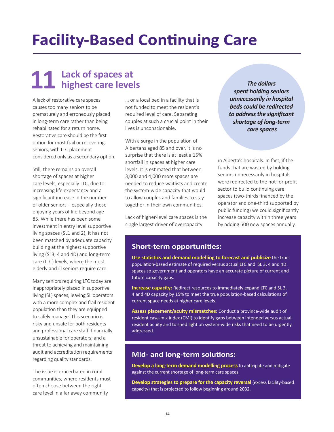## **Facility-Based Continuing Care**

## **11 Lack of spaces at highest care levels**

A lack of restorative care spaces causes too many seniors to be prematurely and erroneously placed in long-term care rather than being rehabilitated for a return home. Restorative care should be the first option for most frail or recovering seniors, with LTC placement considered only as a secondary option.

Still, there remains an overall shortage of spaces at higher care levels, especially LTC, due to increasing life expectancy and a significant increase in the number of older seniors – especially those enjoying years of life beyond age 85. While there has been some investment in entry level supportive living spaces (SL1 and 2), it has not been matched by adequate capacity building at the highest supportive living (SL3, 4 and 4D) and long-term care (LTC) levels, where the most elderly and ill seniors require care.

Many seniors requiring LTC today are inappropriately placed in supportive living (SL) spaces, leaving SL operators with a more complex and frail resident population than they are equipped to safely manage. This scenario is risky and unsafe for both residents and professional care staff; financially unsustainable for operators; and a threat to achieving and maintaining audit and accreditation requirements regarding quality standards.

The issue is exacerbated in rural communities, where residents must often choose between the right care level in a far away community

… or a local bed in a facility that is not funded to meet the resident's required level of care. Separating couples at such a crucial point in their lives is unconscionable.

With a surge in the population of Albertans aged 85 and over, it is no surprise that there is at least a 15% shortfall in spaces at higher care levels. It is estimated that between 3,000 and 4,000 more spaces are needed to reduce waitlists and create the system-wide capacity that would to allow couples and families to stay together in their own communities.

Lack of higher-level care spaces is the single largest driver of overcapacity

*The dollars spent holding seniors unnecessarily in hospital beds could be redirected to address the significant shortage of long-term care spaces*

in Alberta's hospitals. In fact, if the funds that are wasted by holding seniors unnecessarily in hospitals were redirected to the not-for-profit sector to build continuing care spaces (two-thirds financed by the operator and one-third supported by public funding) we could significantly increase capacity within three years by adding 500 new spaces annually.

#### **Short-term opportunities:**

**Use statistics and demand modelling to forecast and publicize** the true, population-based estimate of required versus actual LTC and SL 3, 4 and 4D spaces so government and operators have an accurate picture of current and future capacity gaps.

**Increase capacity:** Redirect resources to immediately expand LTC and SL 3, 4 and 4D capacity by 15% to meet the true population-based calculations of current space needs at higher care levels.

**Assess placement/acuity mismatches:** Conduct a province-wide audit of resident case-mix index (CMI) to identify gaps between intended versus actual resident acuity and to shed light on system-wide risks that need to be urgently addressed.

### **Mid- and long-term solutions:**

**Develop a long-term demand modelling process** to anticipate and mitigate against the current shortage of long-term care spaces.

**Develop strategies to prepare for the capacity reversal (excess facility-based)** capacity) that is projected to follow beginning around 2032.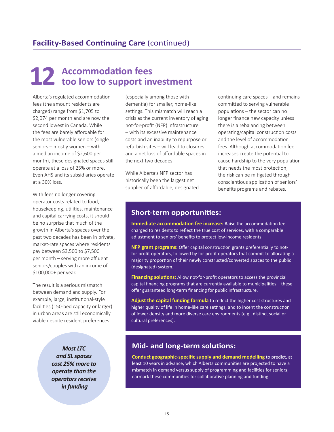# **12 Accommodation fees too low to support investment**

Alberta's regulated accommodation fees (the amount residents are charged) range from \$1,705 to \$2,074 per month and are now the second lowest in Canada. While the fees are barely affordable for the most vulnerable seniors (single seniors – mostly women – with a median income of \$2,600 per month), these designated spaces still operate at a loss of 25% or more. Even AHS and its subsidiaries operate at a 30% loss.

With fees no longer covering operator costs related to food, housekeeping, utilities, maintenance and capital carrying costs, it should be no surprise that much of the growth in Alberta's spaces over the past two decades has been in private, market-rate spaces where residents pay between \$3,500 to \$7,500 per month – serving more affluent seniors/couples with an income of \$100,000+ per year.

The result is a serious mismatch between demand and supply. For example, large, institutional-style facilities (150-bed capacity or larger) in urban areas are still economically viable despite resident preferences

> *Most LTC and SL spaces cost 25% more to operate than the operators receive in funding*

(especially among those with dementia) for smaller, home-like settings. This mismatch will reach a crisis as the current inventory of aging not-for-profit (NFP) infrastructure – with its excessive maintenance costs and an inability to repurpose or refurbish sites – will lead to closures and a net loss of affordable spaces in the next two decades.

While Alberta's NFP sector has historically been the largest net supplier of affordable, designated continuing care spaces – and remains committed to serving vulnerable populations – the sector can no longer finance new capacity unless there is a rebalancing between operating/capital construction costs and the level of accommodation fees. Although accommodation fee increases create the potential to cause hardship to the very population that needs the most protection, the risk can be mitigated through conscientious application of seniors' benefits programs and rebates.

## **Short-term opportunities:**

**Immediate accommodation fee increase:** Raise the accommodation fee charged to residents to reflect the true cost of services, with a comparable adjustment to seniors' benefits to protect low-income residents.

**NFP grant programs:** Offer capital construction grants preferentially to notfor-profit operators, followed by for-profit operators that commit to allocating a majority proportion of their newly constructed/converted spaces to the public (designated) system.

**Financing solutions:** Allow not-for-profit operators to access the provincial capital financing programs that are currently available to municipalities – these offer guaranteed long-term financing for public infrastructure.

**Adjust the capital funding formula** to reflect the higher cost structures and higher quality of life in home-like care settings, and to incent the construction of lower density and more diverse care environments (e.g., distinct social or cultural preferences).

## **Mid- and long-term solutions:**

**Conduct geographic-specific supply and demand modelling** to predict, at least 10 years in advance, which Alberta communities are projected to have a mismatch in demand versus supply of programming and facilities for seniors; earmark these communities for collaborative planning and funding.